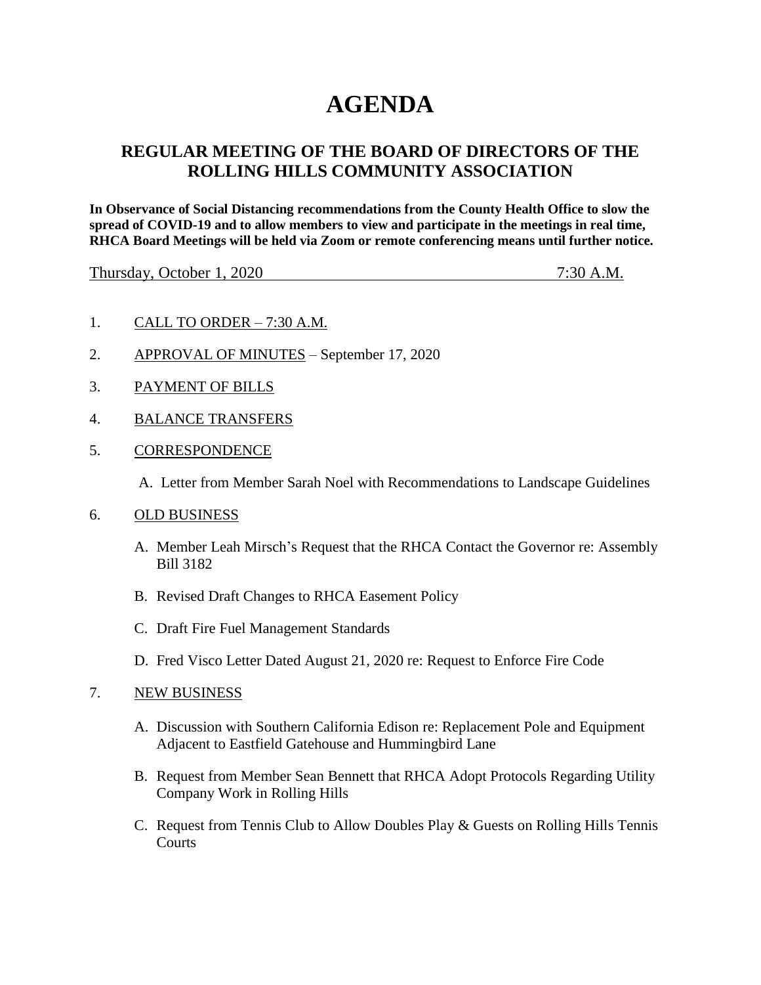# **AGENDA**

## **REGULAR MEETING OF THE BOARD OF DIRECTORS OF THE ROLLING HILLS COMMUNITY ASSOCIATION**

**In Observance of Social Distancing recommendations from the County Health Office to slow the spread of COVID-19 and to allow members to view and participate in the meetings in real time, RHCA Board Meetings will be held via Zoom or remote conferencing means until further notice.** 

Thursday, October 1, 2020 7:30 A.M.

- 1. CALL TO ORDER 7:30 A.M.
- 2. APPROVAL OF MINUTES September 17, 2020
- 3. PAYMENT OF BILLS
- 4. BALANCE TRANSFERS
- 5. CORRESPONDENCE

A. Letter from Member Sarah Noel with Recommendations to Landscape Guidelines

- 6. OLD BUSINESS
	- A. Member Leah Mirsch's Request that the RHCA Contact the Governor re: Assembly Bill 3182
	- B. Revised Draft Changes to RHCA Easement Policy
	- C. Draft Fire Fuel Management Standards
	- D. Fred Visco Letter Dated August 21, 2020 re: Request to Enforce Fire Code

#### 7. NEW BUSINESS

- A. Discussion with Southern California Edison re: Replacement Pole and Equipment Adjacent to Eastfield Gatehouse and Hummingbird Lane
- B. Request from Member Sean Bennett that RHCA Adopt Protocols Regarding Utility Company Work in Rolling Hills
- C. Request from Tennis Club to Allow Doubles Play & Guests on Rolling Hills Tennis **Courts**